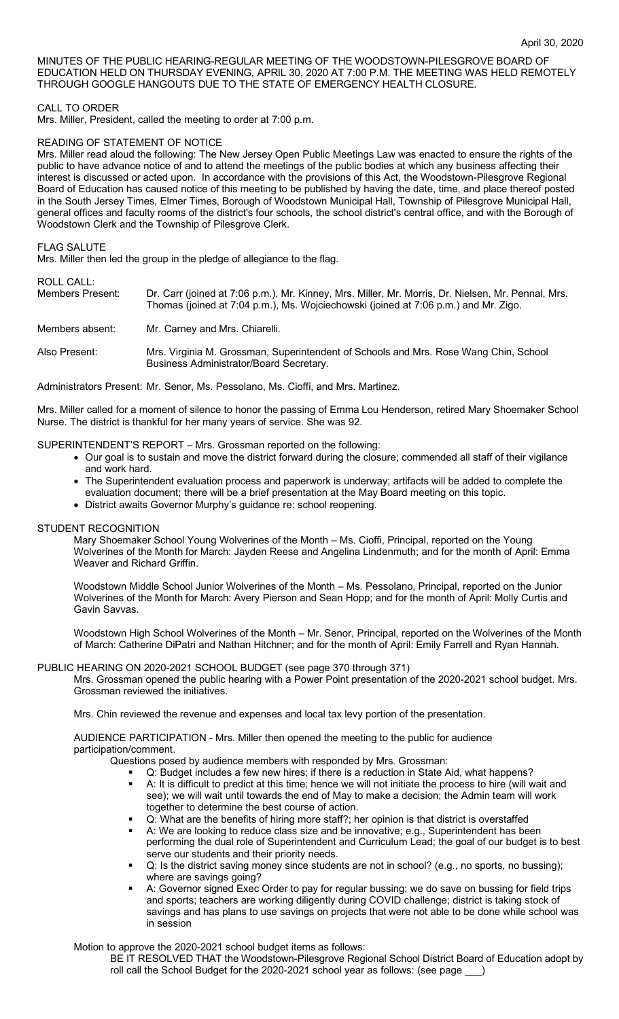MINUTES OF THE PUBLIC HEARING-REGULAR MEETING OF THE WOODSTOWN-PILESGROVE BOARD OF EDUCATION HELD ON THURSDAY EVENING, APRIL 30, 2020 AT 7:00 P.M. THE MEETING WAS HELD REMOTELY THROUGH GOOGLE HANGOUTS DUE TO THE STATE OF EMERGENCY HEALTH CLOSURE.

# CALL TO ORDER

Mrs. Miller, President, called the meeting to order at 7:00 p.m.

### READING OF STATEMENT OF NOTICE

Mrs. Miller read aloud the following: The New Jersey Open Public Meetings Law was enacted to ensure the rights of the public to have advance notice of and to attend the meetings of the public bodies at which any business affecting their interest is discussed or acted upon. In accordance with the provisions of this Act, the Woodstown-Pilesgrove Regional Board of Education has caused notice of this meeting to be published by having the date, time, and place thereof posted in the South Jersey Times, Elmer Times, Borough of Woodstown Municipal Hall, Township of Pilesgrove Municipal Hall, general offices and faculty rooms of the district's four schools, the school district's central office, and with the Borough of Woodstown Clerk and the Township of Pilesgrove Clerk.

### FLAG SALUTE

Mrs. Miller then led the group in the pledge of allegiance to the flag.

# ROLL CALL:

| Members Present: | Dr. Carr (joined at 7:06 p.m.), Mr. Kinney, Mrs. Miller, Mr. Morris, Dr. Nielsen, Mr. Pennal, Mrs.<br>Thomas (joined at 7:04 p.m.), Ms. Wojciechowski (joined at 7:06 p.m.) and Mr. Zigo. |
|------------------|-------------------------------------------------------------------------------------------------------------------------------------------------------------------------------------------|
| Members absent:  | Mr. Carney and Mrs. Chiarelli.                                                                                                                                                            |
| Also Present:    | Mrs. Virginia M. Grossman, Superintendent of Schools and Mrs. Rose Wang Chin, School<br>Business Administrator/Board Secretary.                                                           |

Administrators Present: Mr. Senor, Ms. Pessolano, Ms. Cioffi, and Mrs. Martinez.

Mrs. Miller called for a moment of silence to honor the passing of Emma Lou Henderson, retired Mary Shoemaker School Nurse. The district is thankful for her many years of service. She was 92.

SUPERINTENDENT'S REPORT – Mrs. Grossman reported on the following:

- Our goal is to sustain and move the district forward during the closure; commended all staff of their vigilance and work hard.
- The Superintendent evaluation process and paperwork is underway; artifacts will be added to complete the evaluation document; there will be a brief presentation at the May Board meeting on this topic.
- District awaits Governor Murphy's guidance re: school reopening.

# STUDENT RECOGNITION

Mary Shoemaker School Young Wolverines of the Month – Ms. Cioffi, Principal, reported on the Young Wolverines of the Month for March: Jayden Reese and Angelina Lindenmuth; and for the month of April: Emma Weaver and Richard Griffin.

Woodstown Middle School Junior Wolverines of the Month – Ms. Pessolano, Principal, reported on the Junior Wolverines of the Month for March: Avery Pierson and Sean Hopp; and for the month of April: Molly Curtis and Gavin Savvas.

Woodstown High School Wolverines of the Month – Mr. Senor, Principal, reported on the Wolverines of the Month of March: Catherine DiPatri and Nathan Hitchner; and for the month of April: Emily Farrell and Ryan Hannah.

# PUBLIC HEARING ON 2020-2021 SCHOOL BUDGET (see page 370 through 371)

Mrs. Grossman opened the public hearing with a Power Point presentation of the 2020-2021 school budget. Mrs. Grossman reviewed the initiatives.

Mrs. Chin reviewed the revenue and expenses and local tax levy portion of the presentation.

AUDIENCE PARTICIPATION - Mrs. Miller then opened the meeting to the public for audience participation/comment.

Questions posed by audience members with responded by Mrs. Grossman:

- § Q: Budget includes a few new hires; if there is a reduction in State Aid, what happens? § A: It is difficult to predict at this time; hence we will not initiate the process to hire (will wait and see); we will wait until towards the end of May to make a decision; the Admin team will work together to determine the best course of action.
- § Q: What are the benefits of hiring more staff?; her opinion is that district is overstaffed
- A: We are looking to reduce class size and be innovative; e.g., Superintendent has been performing the dual role of Superintendent and Curriculum Lead; the goal of our budget is to best serve our students and their priority needs.
- Q: Is the district saving money since students are not in school? (e.g., no sports, no bussing); where are savings going?
- A: Governor signed Exec Order to pay for regular bussing; we do save on bussing for field trips and sports; teachers are working diligently during COVID challenge; district is taking stock of savings and has plans to use savings on projects that were not able to be done while school was in session

Motion to approve the 2020-2021 school budget items as follows:

BE IT RESOLVED THAT the Woodstown-Pilesgrove Regional School District Board of Education adopt by roll call the School Budget for the 2020-2021 school year as follows: (see page )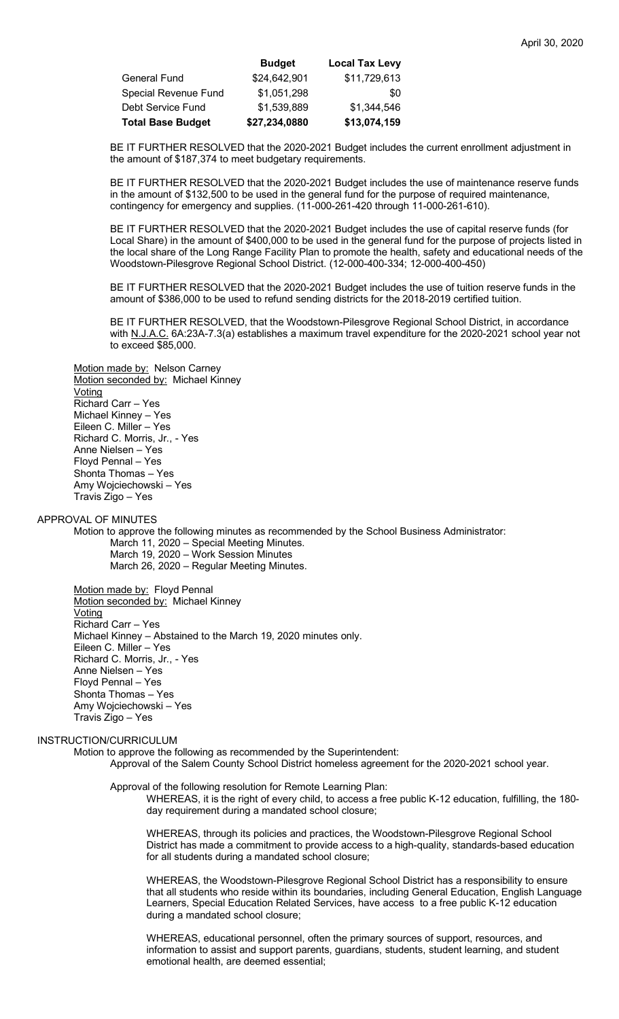|                             | <b>Budget</b> | <b>Local Tax Levy</b> |
|-----------------------------|---------------|-----------------------|
| General Fund                | \$24,642,901  | \$11,729,613          |
| <b>Special Revenue Fund</b> | \$1,051,298   | \$0                   |
| Debt Service Fund           | \$1,539,889   | \$1,344,546           |
| <b>Total Base Budget</b>    | \$27,234,0880 | \$13,074,159          |

BE IT FURTHER RESOLVED that the 2020-2021 Budget includes the current enrollment adjustment in the amount of \$187,374 to meet budgetary requirements.

BE IT FURTHER RESOLVED that the 2020-2021 Budget includes the use of maintenance reserve funds in the amount of \$132,500 to be used in the general fund for the purpose of required maintenance, contingency for emergency and supplies. (11-000-261-420 through 11-000-261-610).

BE IT FURTHER RESOLVED that the 2020-2021 Budget includes the use of capital reserve funds (for Local Share) in the amount of \$400,000 to be used in the general fund for the purpose of projects listed in the local share of the Long Range Facility Plan to promote the health, safety and educational needs of the Woodstown-Pilesgrove Regional School District. (12-000-400-334; 12-000-400-450)

BE IT FURTHER RESOLVED that the 2020-2021 Budget includes the use of tuition reserve funds in the amount of \$386,000 to be used to refund sending districts for the 2018-2019 certified tuition.

BE IT FURTHER RESOLVED, that the Woodstown-Pilesgrove Regional School District, in accordance with N.J.A.C. 6A:23A-7.3(a) establishes a maximum travel expenditure for the 2020-2021 school year not to exceed \$85,000.

Motion made by: Nelson Carney Motion seconded by: Michael Kinney Voting Richard Carr – Yes Michael Kinney – Yes Eileen C. Miller – Yes Richard C. Morris, Jr., - Yes Anne Nielsen – Yes Floyd Pennal – Yes Shonta Thomas – Yes Amy Wojciechowski – Yes Travis Zigo – Yes

## APPROVAL OF MINUTES

Motion to approve the following minutes as recommended by the School Business Administrator: March 11, 2020 – Special Meeting Minutes.

March 19, 2020 – Work Session Minutes March 26, 2020 – Regular Meeting Minutes.

Motion made by: Floyd Pennal

Motion seconded by: Michael Kinney Voting Richard Carr – Yes Michael Kinney – Abstained to the March 19, 2020 minutes only. Eileen C. Miller – Yes Richard C. Morris, Jr., - Yes Anne Nielsen – Yes Floyd Pennal – Yes Shonta Thomas – Yes Amy Wojciechowski – Yes Travis Zigo – Yes

#### INSTRUCTION/CURRICULUM

Motion to approve the following as recommended by the Superintendent:

Approval of the Salem County School District homeless agreement for the 2020-2021 school year.

Approval of the following resolution for Remote Learning Plan:

WHEREAS, it is the right of every child, to access a free public K-12 education, fulfilling, the 180 day requirement during a mandated school closure;

WHEREAS, through its policies and practices, the Woodstown-Pilesgrove Regional School District has made a commitment to provide access to a high-quality, standards-based education for all students during a mandated school closure;

WHEREAS, the Woodstown-Pilesgrove Regional School District has a responsibility to ensure that all students who reside within its boundaries, including General Education, English Language Learners, Special Education Related Services, have access to a free public K-12 education during a mandated school closure;

WHEREAS, educational personnel, often the primary sources of support, resources, and information to assist and support parents, guardians, students, student learning, and student emotional health, are deemed essential;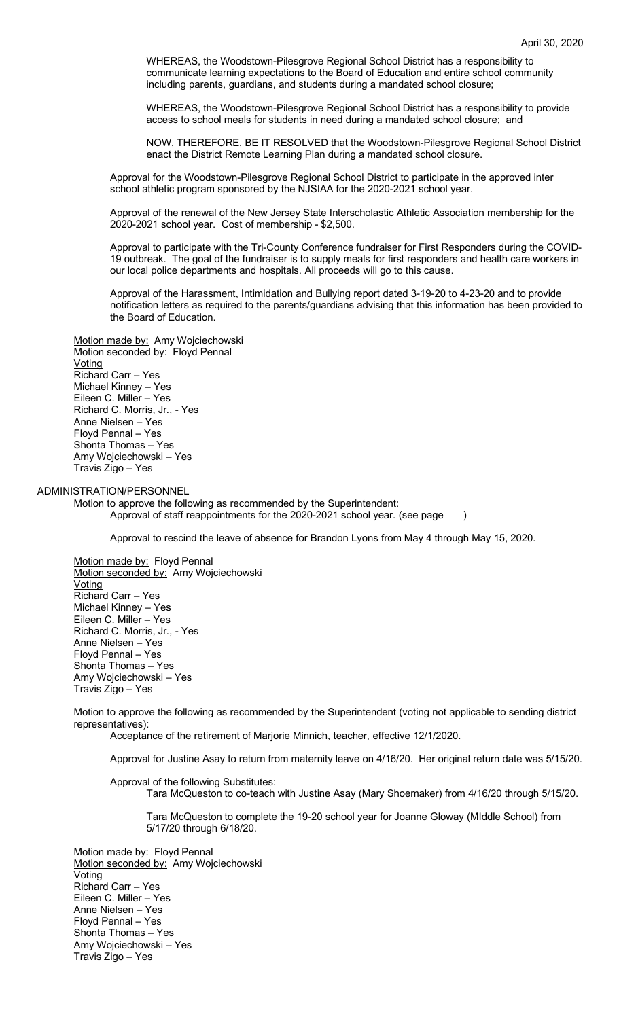WHEREAS, the Woodstown-Pilesgrove Regional School District has a responsibility to communicate learning expectations to the Board of Education and entire school community including parents, guardians, and students during a mandated school closure;

WHEREAS, the Woodstown-Pilesgrove Regional School District has a responsibility to provide access to school meals for students in need during a mandated school closure; and

NOW, THEREFORE, BE IT RESOLVED that the Woodstown-Pilesgrove Regional School District enact the District Remote Learning Plan during a mandated school closure.

Approval for the Woodstown-Pilesgrove Regional School District to participate in the approved inter school athletic program sponsored by the NJSIAA for the 2020-2021 school year.

Approval of the renewal of the New Jersey State Interscholastic Athletic Association membership for the 2020-2021 school year. Cost of membership - \$2,500.

Approval to participate with the Tri-County Conference fundraiser for First Responders during the COVID-19 outbreak. The goal of the fundraiser is to supply meals for first responders and health care workers in our local police departments and hospitals. All proceeds will go to this cause.

Approval of the Harassment, Intimidation and Bullying report dated 3-19-20 to 4-23-20 and to provide notification letters as required to the parents/guardians advising that this information has been provided to the Board of Education.

# Motion made by: Amy Wojciechowski

Motion seconded by: Floyd Pennal **Voting** Richard Carr – Yes Michael Kinney – Yes Eileen C. Miller – Yes Richard C. Morris, Jr., - Yes Anne Nielsen – Yes Floyd Pennal – Yes Shonta Thomas – Yes Amy Wojciechowski – Yes Travis Zigo – Yes

#### ADMINISTRATION/PERSONNEL

Motion to approve the following as recommended by the Superintendent: Approval of staff reappointments for the 2020-2021 school year. (see page

Approval to rescind the leave of absence for Brandon Lyons from May 4 through May 15, 2020.

Motion made by: Floyd Pennal Motion seconded by: Amy Wojciechowski **Voting** Richard Carr – Yes Michael Kinney – Yes Eileen C. Miller – Yes Richard C. Morris, Jr., - Yes Anne Nielsen – Yes Floyd Pennal – Yes Shonta Thomas – Yes Amy Wojciechowski – Yes Travis Zigo – Yes

Motion to approve the following as recommended by the Superintendent (voting not applicable to sending district representatives):

Acceptance of the retirement of Marjorie Minnich, teacher, effective 12/1/2020.

Approval for Justine Asay to return from maternity leave on 4/16/20. Her original return date was 5/15/20.

Approval of the following Substitutes:

Tara McQueston to co-teach with Justine Asay (Mary Shoemaker) from 4/16/20 through 5/15/20.

Tara McQueston to complete the 19-20 school year for Joanne Gloway (MIddle School) from 5/17/20 through 6/18/20.

Motion made by: Floyd Pennal Motion seconded by: Amy Wojciechowski Voting Richard Carr – Yes Eileen C. Miller – Yes Anne Nielsen – Yes Floyd Pennal – Yes Shonta Thomas – Yes Amy Wojciechowski – Yes Travis Zigo – Yes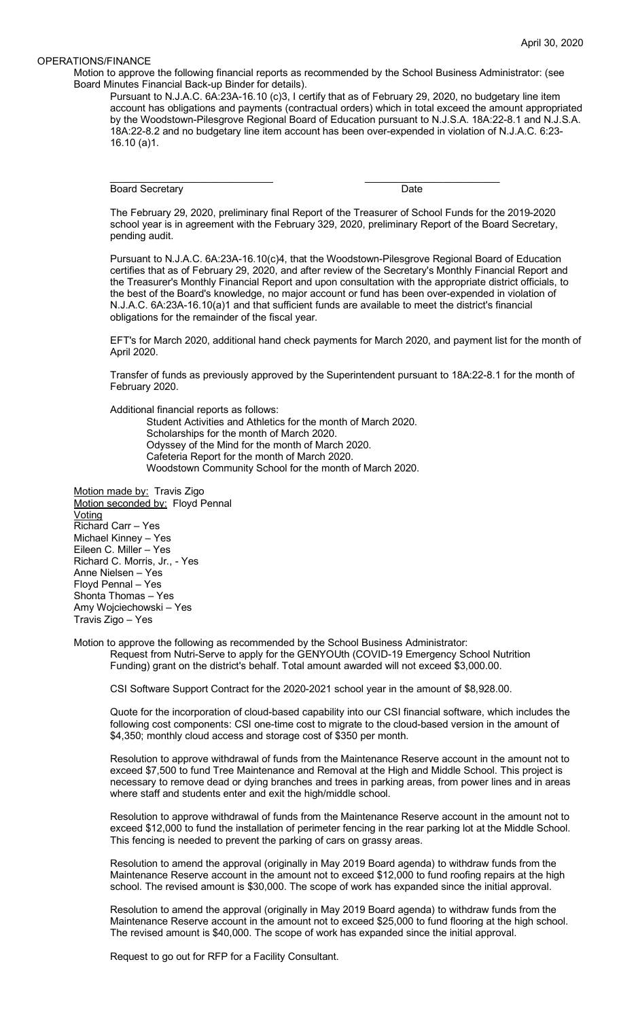### OPERATIONS/FINANCE

Motion to approve the following financial reports as recommended by the School Business Administrator: (see Board Minutes Financial Back-up Binder for details).

Pursuant to N.J.A.C. 6A:23A-16.10 (c)3, I certify that as of February 29, 2020, no budgetary line item account has obligations and payments (contractual orders) which in total exceed the amount appropriated by the Woodstown-Pilesgrove Regional Board of Education pursuant to N.J.S.A. 18A:22-8.1 and N.J.S.A. 18A:22-8.2 and no budgetary line item account has been over-expended in violation of N.J.A.C. 6:23- 16.10 (a)1.

Board Secretary **Date** 

\_\_\_\_\_\_\_\_\_\_\_\_\_\_\_\_\_\_\_\_\_\_\_\_\_\_\_\_\_ \_\_\_\_\_\_\_\_\_\_\_\_\_\_\_\_\_\_\_\_\_\_\_\_

The February 29, 2020, preliminary final Report of the Treasurer of School Funds for the 2019-2020 school year is in agreement with the February 329, 2020, preliminary Report of the Board Secretary, pending audit.

Pursuant to N.J.A.C. 6A:23A-16.10(c)4, that the Woodstown-Pilesgrove Regional Board of Education certifies that as of February 29, 2020, and after review of the Secretary's Monthly Financial Report and the Treasurer's Monthly Financial Report and upon consultation with the appropriate district officials, to the best of the Board's knowledge, no major account or fund has been over-expended in violation of N.J.A.C. 6A:23A-16.10(a)1 and that sufficient funds are available to meet the district's financial obligations for the remainder of the fiscal year.

EFT's for March 2020, additional hand check payments for March 2020, and payment list for the month of April 2020.

Transfer of funds as previously approved by the Superintendent pursuant to 18A:22-8.1 for the month of February 2020.

Additional financial reports as follows:

Student Activities and Athletics for the month of March 2020. Scholarships for the month of March 2020. Odyssey of the Mind for the month of March 2020. Cafeteria Report for the month of March 2020. Woodstown Community School for the month of March 2020.

Motion made by: Travis Zigo Motion seconded by: Floyd Pennal **Voting** Richard Carr – Yes Michael Kinney – Yes Eileen C. Miller – Yes Richard C. Morris, Jr., - Yes Anne Nielsen – Yes Floyd Pennal – Yes Shonta Thomas – Yes Amy Wojciechowski – Yes Travis Zigo – Yes

Motion to approve the following as recommended by the School Business Administrator: Request from Nutri-Serve to apply for the GENYOUth (COVID-19 Emergency School Nutrition Funding) grant on the district's behalf. Total amount awarded will not exceed \$3,000.00.

CSI Software Support Contract for the 2020-2021 school year in the amount of \$8,928.00.

Quote for the incorporation of cloud-based capability into our CSI financial software, which includes the following cost components: CSI one-time cost to migrate to the cloud-based version in the amount of \$4,350; monthly cloud access and storage cost of \$350 per month.

Resolution to approve withdrawal of funds from the Maintenance Reserve account in the amount not to exceed \$7,500 to fund Tree Maintenance and Removal at the High and Middle School. This project is necessary to remove dead or dying branches and trees in parking areas, from power lines and in areas where staff and students enter and exit the high/middle school.

Resolution to approve withdrawal of funds from the Maintenance Reserve account in the amount not to exceed \$12,000 to fund the installation of perimeter fencing in the rear parking lot at the Middle School. This fencing is needed to prevent the parking of cars on grassy areas.

Resolution to amend the approval (originally in May 2019 Board agenda) to withdraw funds from the Maintenance Reserve account in the amount not to exceed \$12,000 to fund roofing repairs at the high school. The revised amount is \$30,000. The scope of work has expanded since the initial approval.

Resolution to amend the approval (originally in May 2019 Board agenda) to withdraw funds from the Maintenance Reserve account in the amount not to exceed \$25,000 to fund flooring at the high school. The revised amount is \$40,000. The scope of work has expanded since the initial approval.

Request to go out for RFP for a Facility Consultant.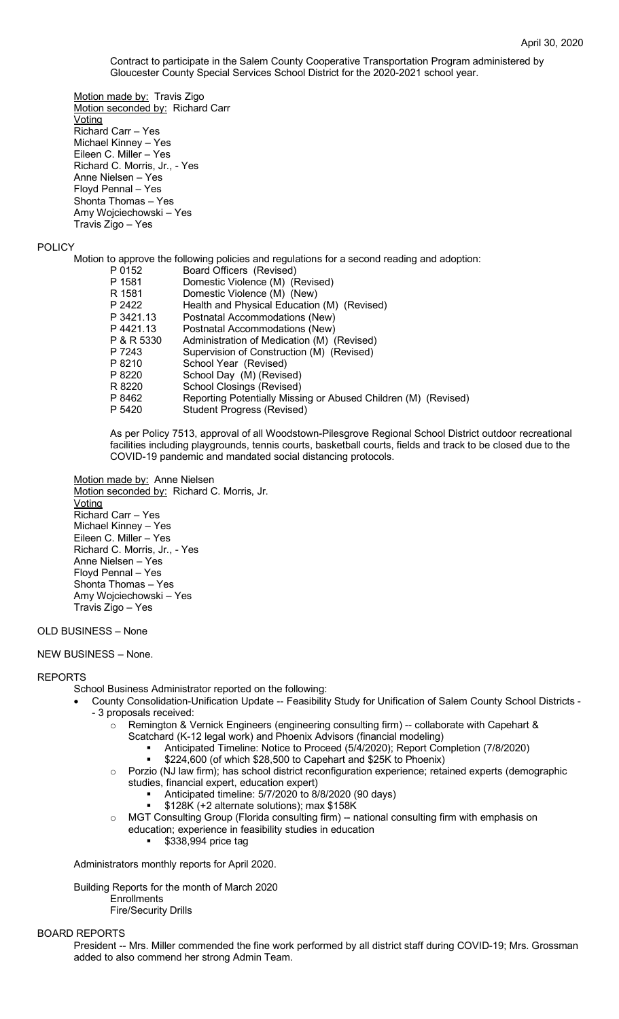Contract to participate in the Salem County Cooperative Transportation Program administered by Gloucester County Special Services School District for the 2020-2021 school year.

Motion made by: Travis Zigo Motion seconded by: Richard Carr **Voting** Richard Carr – Yes Michael Kinney – Yes Eileen C. Miller – Yes Richard C. Morris, Jr., - Yes Anne Nielsen – Yes Floyd Pennal – Yes Shonta Thomas – Yes Amy Wojciechowski – Yes Travis Zigo – Yes

### POLICY

Motion to approve the following policies and regulations for a second reading and adoption:

| Board Officers (Revised)                                       |
|----------------------------------------------------------------|
| Domestic Violence (M) (Revised)                                |
| Domestic Violence (M) (New)                                    |
| Health and Physical Education (M) (Revised)                    |
| Postnatal Accommodations (New)                                 |
| Postnatal Accommodations (New)                                 |
| Administration of Medication (M) (Revised)                     |
| Supervision of Construction (M) (Revised)                      |
| School Year (Revised)                                          |
| School Day (M) (Revised)                                       |
| <b>School Closings (Revised)</b>                               |
| Reporting Potentially Missing or Abused Children (M) (Revised) |
| <b>Student Progress (Revised)</b>                              |
|                                                                |

As per Policy 7513, approval of all Woodstown-Pilesgrove Regional School District outdoor recreational facilities including playgrounds, tennis courts, basketball courts, fields and track to be closed due to the COVID-19 pandemic and mandated social distancing protocols.

Motion made by: Anne Nielsen Motion seconded by: Richard C. Morris, Jr. Voting Richard Carr – Yes Michael Kinney – Yes Eileen C. Miller – Yes Richard C. Morris, Jr., - Yes Anne Nielsen – Yes Floyd Pennal – Yes Shonta Thomas – Yes Amy Wojciechowski – Yes Travis Zigo – Yes

OLD BUSINESS – None

## NEW BUSINESS – None.

#### REPORTS

School Business Administrator reported on the following:

- County Consolidation-Unification Update -- Feasibility Study for Unification of Salem County School Districts - 3 proposals received:
	- o Remington & Vernick Engineers (engineering consulting firm) -- collaborate with Capehart & Scatchard (K-12 legal work) and Phoenix Advisors (financial modeling)
		- § Anticipated Timeline: Notice to Proceed (5/4/2020); Report Completion (7/8/2020)
			- § \$224,600 (of which \$28,500 to Capehart and \$25K to Phoenix)
	- o Porzio (NJ law firm); has school district reconfiguration experience; retained experts (demographic studies, financial expert, education expert)
		- § Anticipated timeline: 5/7/2020 to 8/8/2020 (90 days)
		- § \$128K (+2 alternate solutions); max \$158K
	- MGT Consulting Group (Florida consulting firm) -- national consulting firm with emphasis on
		- education; experience in feasibility studies in education
			- § \$338,994 price tag

Administrators monthly reports for April 2020.

Building Reports for the month of March 2020

**Enrollments** 

Fire/Security Drills

#### BOARD REPORTS

President -- Mrs. Miller commended the fine work performed by all district staff during COVID-19; Mrs. Grossman added to also commend her strong Admin Team.